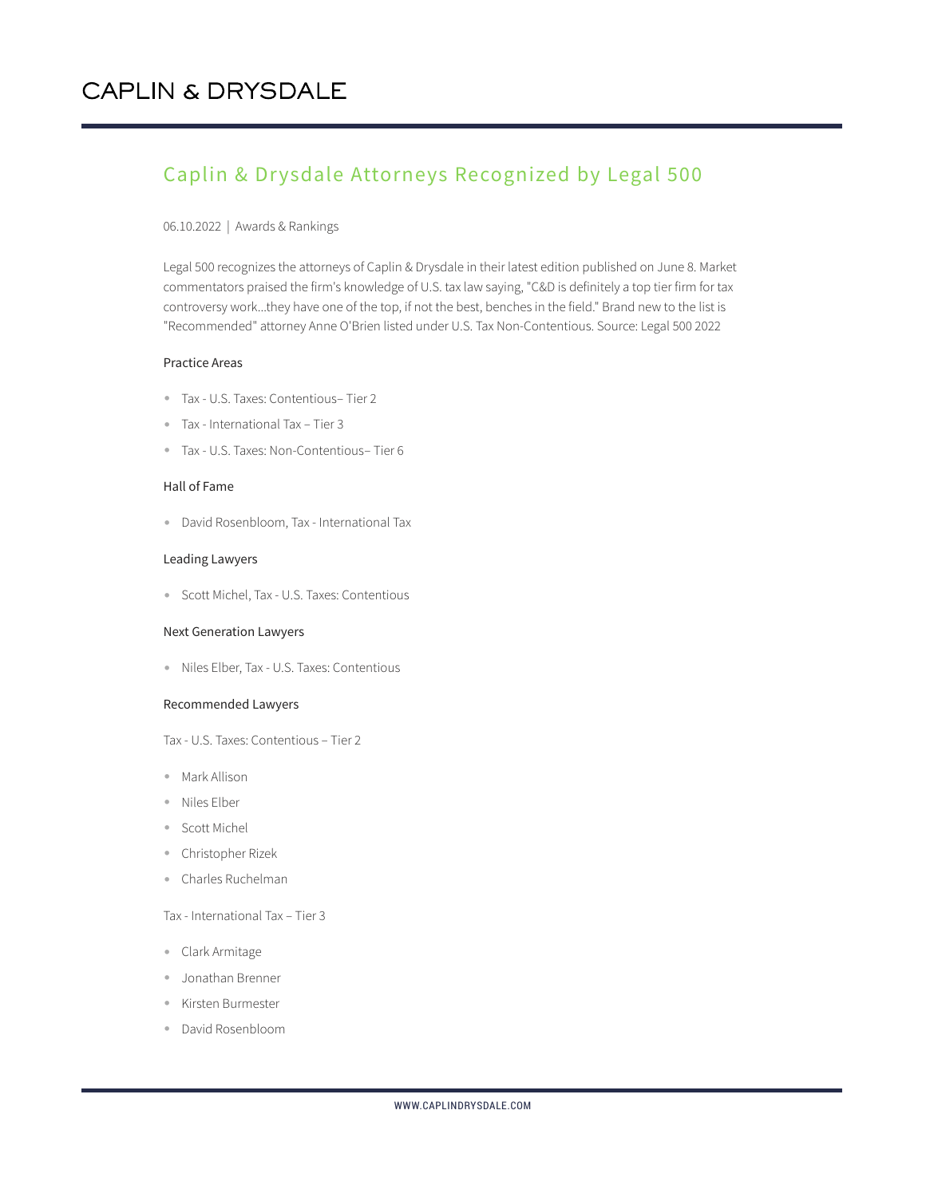# Caplin & Drysdale Attorneys Recognized by Legal 500

#### 06.10.2022 | Awards & Rankings

Legal 500 recognizes the attorneys of Caplin & Drysdale in their latest edition published on June 8. Market commentators praised the firm's knowledge of U.S. tax law saying, "C&D is definitely a top tier firm for tax controversy work...they have one of the top, if not the best, benches in the field." Brand new to the list is "Recommended" attorney Anne O'Brien listed under U.S. Tax Non-Contentious. Source: Legal 500 2022

# Practice Areas

- Tax U.S. Taxes: Contentious– Tier 2
- Tax International Tax Tier 3
- Tax U.S. Taxes: Non-Contentious– Tier 6

#### Hall of Fame

● David Rosenbloom, Tax - International Tax

#### Leading Lawyers

● Scott Michel, Tax - U.S. Taxes: Contentious

#### Next Generation Lawyers

● Niles Elber, Tax - U.S. Taxes: Contentious

#### Recommended Lawyers

Tax - U.S. Taxes: Contentious – Tier 2

- Mark Allison
- Niles Elber
- Scott Michel
- Christopher Rizek
- Charles Ruchelman

# Tax - International Tax – Tier 3

- Clark Armitage
- Jonathan Brenner
- Kirsten Burmester
- David Rosenbloom